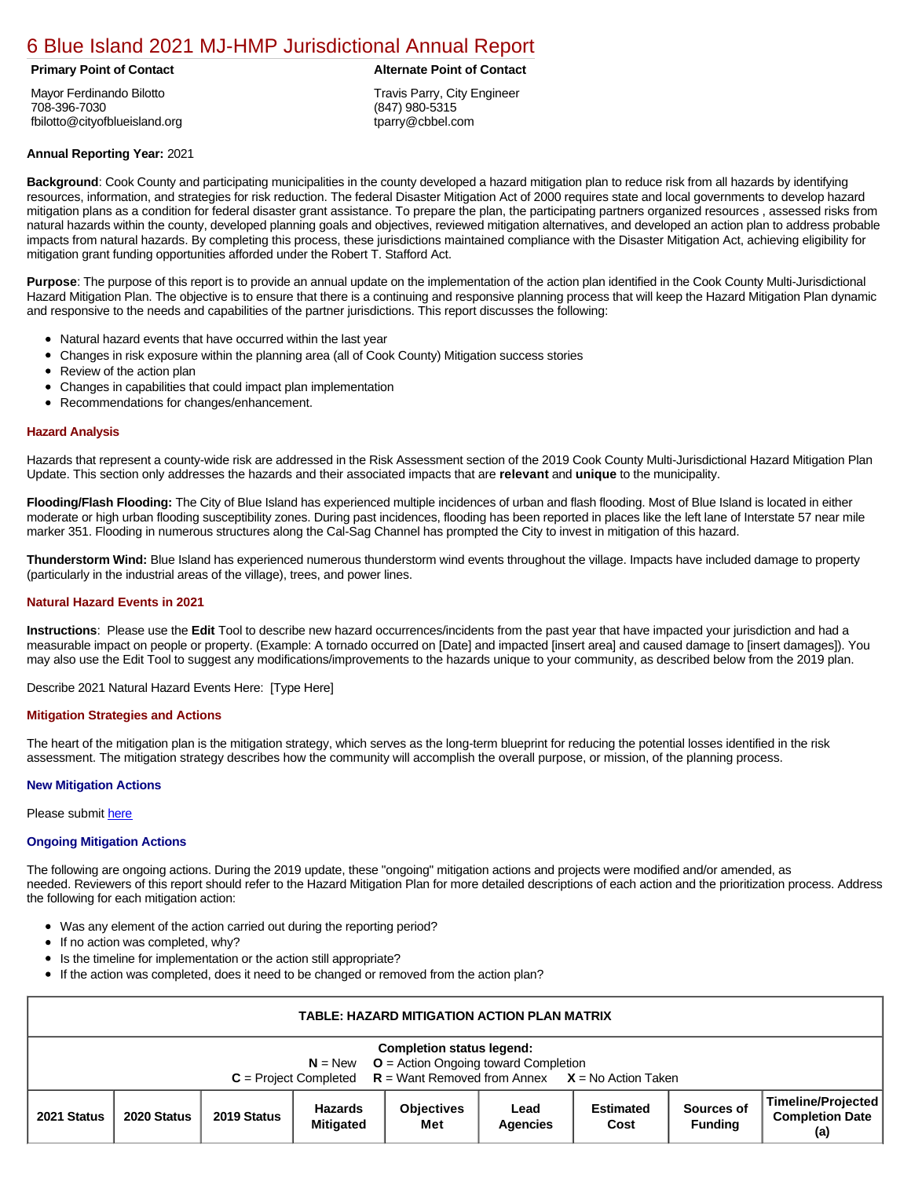# [6 Blue Island 2021 MJ-HMP Jurisdictional Annual Report](https://blue.isc-cemp.com/Cemp/Details?id=8322814)

Mayor Ferdinando Bilotto 708-396-7030 fbilotto@cityofblueisland.org

## **Annual Reporting Year:** 2021

**Background**: Cook County and participating municipalities in the county developed a hazard mitigation plan to reduce risk from all hazards by identifying resources, information, and strategies for risk reduction. The federal Disaster Mitigation Act of 2000 requires state and local governments to develop hazard mitigation plans as a condition for federal disaster grant assistance. To prepare the plan, the participating partners organized resources , assessed risks from natural hazards within the county, developed planning goals and objectives, reviewed mitigation alternatives, and developed an action plan to address probable impacts from natural hazards. By completing this process, these jurisdictions maintained compliance with the Disaster Mitigation Act, achieving eligibility for mitigation grant funding opportunities afforded under the Robert T. Stafford Act.

**Purpose**: The purpose of this report is to provide an annual update on the implementation of the action plan identified in the Cook County Multi-Jurisdictional Hazard Mitigation Plan. The objective is to ensure that there is a continuing and responsive planning process that will keep the Hazard Mitigation Plan dynamic and responsive to the needs and capabilities of the partner jurisdictions. This report discusses the following:

- Natural hazard events that have occurred within the last year
- Changes in risk exposure within the planning area (all of Cook County) Mitigation success stories
- $\bullet$ Review of the action plan
- Changes in capabilities that could impact plan implementation
- Recommendations for changes/enhancement.

### **Hazard Analysis**

Hazards that represent a county-wide risk are addressed in the Risk Assessment section of the 2019 Cook County Multi-Jurisdictional Hazard Mitigation Plan Update. This section only addresses the hazards and their associated impacts that are **relevant** and **unique** to the municipality.

**Flooding/Flash Flooding:** The City of Blue Island has experienced multiple incidences of urban and flash flooding. Most of Blue Island is located in either moderate or high urban flooding susceptibility zones. During past incidences, flooding has been reported in places like the left lane of Interstate 57 near mile marker 351. Flooding in numerous structures along the Cal-Sag Channel has prompted the City to invest in mitigation of this hazard.

**Thunderstorm Wind:** Blue Island has experienced numerous thunderstorm wind events throughout the village. Impacts have included damage to property (particularly in the industrial areas of the village), trees, and power lines.

#### **Natural Hazard Events in 2021**

**Instructions**: Please use the **Edit** Tool to describe new hazard occurrences/incidents from the past year that have impacted your jurisdiction and had a measurable impact on people or property. (Example: A tornado occurred on [Date] and impacted [insert area] and caused damage to [insert damages]). You may also use the Edit Tool to suggest any modifications/improvements to the hazards unique to your community, as described below from the 2019 plan.

Describe 2021 Natural Hazard Events Here: [Type Here]

#### **Mitigation Strategies and Actions**

The heart of the mitigation plan is the mitigation strategy, which serves as the long-term blueprint for reducing the potential losses identified in the risk assessment. The mitigation strategy describes how the community will accomplish the overall purpose, or mission, of the planning process.

#### **New Mitigation Actions**

Please submit [here](https://integratedsolutions.wufoo.com/forms/mg21jvf0jn639o/)

#### **Ongoing Mitigation Actions**

The following are ongoing actions. During the 2019 update, these "ongoing" mitigation actions and projects were modified and/or amended, as needed. Reviewers of this report should refer to the Hazard Mitigation Plan for more detailed descriptions of each action and the prioritization process. Address the following for each mitigation action:

- Was any element of the action carried out during the reporting period?
- If no action was completed, why?
- Is the timeline for implementation or the action still appropriate?
- If the action was completed, does it need to be changed or removed from the action plan?

| <b>TABLE: HAZARD MITIGATION ACTION PLAN MATRIX</b>                                                                                                                  |             |             |                                    |                          |                  |                          |                              |                                                     |  |
|---------------------------------------------------------------------------------------------------------------------------------------------------------------------|-------------|-------------|------------------------------------|--------------------------|------------------|--------------------------|------------------------------|-----------------------------------------------------|--|
| <b>Completion status legend:</b><br>$N = New$ $Q =$ Action Ongoing toward Completion<br>$C =$ Project Completed $R =$ Want Removed from Annex $X =$ No Action Taken |             |             |                                    |                          |                  |                          |                              |                                                     |  |
| 2021 Status                                                                                                                                                         | 2020 Status | 2019 Status | <b>Hazards</b><br><b>Mitigated</b> | <b>Objectives</b><br>Met | Lead<br>Agencies | <b>Estimated</b><br>Cost | Sources of<br><b>Fundina</b> | Timeline/Projected<br><b>Completion Date</b><br>(a) |  |

**Primary Point of Contact Alternate Point of Contact** 

Travis Parry, City Engineer (847) 980-5315 tparry@cbbel.com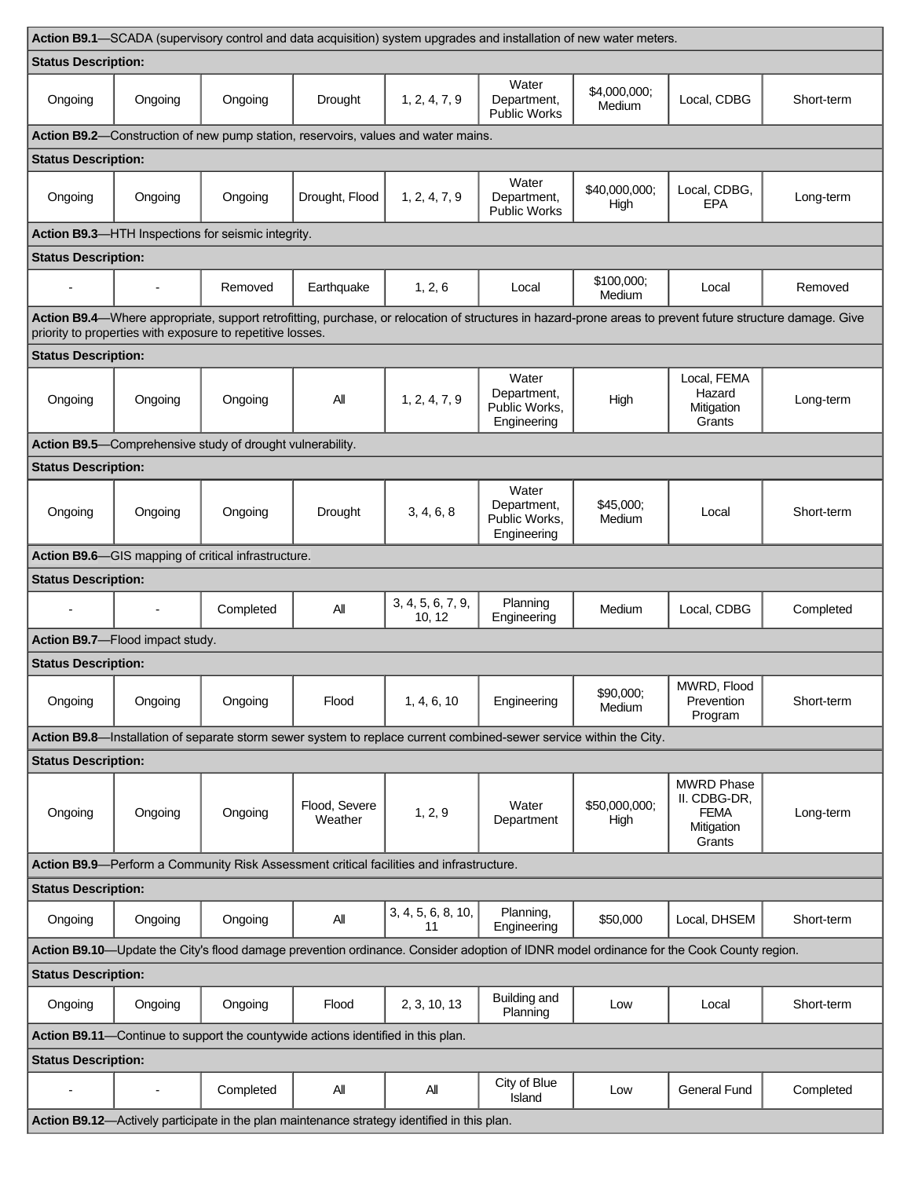| Action B9.1—SCADA (supervisory control and data acquisition) system upgrades and installation of new water meters.                      |                                                                                   |                                                            |                          |                             |                                                      |                        |                                                                          |                                                                                                                                                           |  |  |
|-----------------------------------------------------------------------------------------------------------------------------------------|-----------------------------------------------------------------------------------|------------------------------------------------------------|--------------------------|-----------------------------|------------------------------------------------------|------------------------|--------------------------------------------------------------------------|-----------------------------------------------------------------------------------------------------------------------------------------------------------|--|--|
| <b>Status Description:</b>                                                                                                              |                                                                                   |                                                            |                          |                             |                                                      |                        |                                                                          |                                                                                                                                                           |  |  |
| Ongoing                                                                                                                                 | Ongoing                                                                           | Ongoing                                                    | Drought                  | 1, 2, 4, 7, 9               | Water<br>Department,<br>Public Works                 | \$4,000,000;<br>Medium | Local, CDBG                                                              | Short-term                                                                                                                                                |  |  |
|                                                                                                                                         | Action B9.2—Construction of new pump station, reservoirs, values and water mains. |                                                            |                          |                             |                                                      |                        |                                                                          |                                                                                                                                                           |  |  |
| <b>Status Description:</b>                                                                                                              |                                                                                   |                                                            |                          |                             |                                                      |                        |                                                                          |                                                                                                                                                           |  |  |
| Ongoing                                                                                                                                 | Ongoing                                                                           | Ongoing                                                    | Drought, Flood           | 1, 2, 4, 7, 9               | Water<br>Department,<br>Public Works                 | \$40,000,000;<br>High  | Local, CDBG,<br>EPA                                                      | Long-term                                                                                                                                                 |  |  |
|                                                                                                                                         |                                                                                   | Action B9.3-HTH Inspections for seismic integrity.         |                          |                             |                                                      |                        |                                                                          |                                                                                                                                                           |  |  |
| <b>Status Description:</b>                                                                                                              |                                                                                   |                                                            |                          |                             |                                                      |                        |                                                                          |                                                                                                                                                           |  |  |
|                                                                                                                                         | $\blacksquare$                                                                    | Removed                                                    | Earthquake               | 1, 2, 6                     | Local                                                | \$100,000;<br>Medium   | Local                                                                    | Removed                                                                                                                                                   |  |  |
|                                                                                                                                         |                                                                                   |                                                            |                          |                             |                                                      |                        |                                                                          | Action B9.4-Where appropriate, support retrofitting, purchase, or relocation of structures in hazard-prone areas to prevent future structure damage. Give |  |  |
| <b>Status Description:</b>                                                                                                              |                                                                                   | priority to properties with exposure to repetitive losses. |                          |                             |                                                      |                        |                                                                          |                                                                                                                                                           |  |  |
| Ongoing                                                                                                                                 | Ongoing                                                                           | Ongoing                                                    | All                      | 1, 2, 4, 7, 9               | Water<br>Department,<br>Public Works,<br>Engineering | High                   | Local, FEMA<br>Hazard<br>Mitigation<br>Grants                            | Long-term                                                                                                                                                 |  |  |
|                                                                                                                                         |                                                                                   | Action B9.5-Comprehensive study of drought vulnerability.  |                          |                             |                                                      |                        |                                                                          |                                                                                                                                                           |  |  |
| <b>Status Description:</b>                                                                                                              |                                                                                   |                                                            |                          |                             |                                                      |                        |                                                                          |                                                                                                                                                           |  |  |
| Ongoing                                                                                                                                 | Ongoing                                                                           | Ongoing                                                    | Drought                  | 3, 4, 6, 8                  | Water<br>Department,<br>Public Works,<br>Engineering | \$45,000;<br>Medium    | Local                                                                    | Short-term                                                                                                                                                |  |  |
|                                                                                                                                         |                                                                                   | Action B9.6-GIS mapping of critical infrastructure.        |                          |                             |                                                      |                        |                                                                          |                                                                                                                                                           |  |  |
| <b>Status Description:</b>                                                                                                              |                                                                                   |                                                            |                          |                             |                                                      |                        |                                                                          |                                                                                                                                                           |  |  |
|                                                                                                                                         | $\overline{a}$                                                                    | Completed                                                  | All                      | 3, 4, 5, 6, 7, 9,<br>10, 12 | Planning<br>Engineering                              | Medium                 | Local, CDBG                                                              | Completed                                                                                                                                                 |  |  |
|                                                                                                                                         | Action B9.7-Flood impact study.                                                   |                                                            |                          |                             |                                                      |                        |                                                                          |                                                                                                                                                           |  |  |
| <b>Status Description:</b>                                                                                                              |                                                                                   |                                                            |                          |                             |                                                      |                        |                                                                          |                                                                                                                                                           |  |  |
| Ongoing                                                                                                                                 | Ongoing                                                                           | Ongoing                                                    | Flood                    | 1, 4, 6, 10                 | Engineering                                          | \$90,000;<br>Medium    | MWRD, Flood<br>Prevention<br>Program                                     | Short-term                                                                                                                                                |  |  |
| Action B9.8-Installation of separate storm sewer system to replace current combined-sewer service within the City.                      |                                                                                   |                                                            |                          |                             |                                                      |                        |                                                                          |                                                                                                                                                           |  |  |
| <b>Status Description:</b>                                                                                                              |                                                                                   |                                                            |                          |                             |                                                      |                        |                                                                          |                                                                                                                                                           |  |  |
| Ongoing                                                                                                                                 | Ongoing                                                                           | Ongoing                                                    | Flood, Severe<br>Weather | 1, 2, 9                     | Water<br>Department                                  | \$50,000,000;<br>High  | <b>MWRD Phase</b><br>II. CDBG-DR,<br><b>FEMA</b><br>Mitigation<br>Grants | Long-term                                                                                                                                                 |  |  |
| Action B9.9—Perform a Community Risk Assessment critical facilities and infrastructure.                                                 |                                                                                   |                                                            |                          |                             |                                                      |                        |                                                                          |                                                                                                                                                           |  |  |
| <b>Status Description:</b>                                                                                                              |                                                                                   |                                                            |                          |                             |                                                      |                        |                                                                          |                                                                                                                                                           |  |  |
| Ongoing                                                                                                                                 | Ongoing                                                                           | Ongoing                                                    | All                      | 3, 4, 5, 6, 8, 10,<br>11    | Planning,<br>Engineering                             | \$50,000               | Local, DHSEM                                                             | Short-term                                                                                                                                                |  |  |
| Action B9.10-Update the City's flood damage prevention ordinance. Consider adoption of IDNR model ordinance for the Cook County region. |                                                                                   |                                                            |                          |                             |                                                      |                        |                                                                          |                                                                                                                                                           |  |  |
| <b>Status Description:</b>                                                                                                              |                                                                                   |                                                            |                          |                             |                                                      |                        |                                                                          |                                                                                                                                                           |  |  |
| Ongoing                                                                                                                                 | Ongoing                                                                           | Ongoing                                                    | Flood                    | 2, 3, 10, 13                | Building and<br>Planning                             | Low                    | Local                                                                    | Short-term                                                                                                                                                |  |  |
| Action B9.11-Continue to support the countywide actions identified in this plan.                                                        |                                                                                   |                                                            |                          |                             |                                                      |                        |                                                                          |                                                                                                                                                           |  |  |
| <b>Status Description:</b>                                                                                                              |                                                                                   |                                                            |                          |                             |                                                      |                        |                                                                          |                                                                                                                                                           |  |  |
| $\overline{\phantom{a}}$                                                                                                                | $\overline{\phantom{m}}$                                                          | Completed                                                  | All                      | All                         | City of Blue<br>Island                               | Low                    | General Fund                                                             | Completed                                                                                                                                                 |  |  |
| Action B9.12-Actively participate in the plan maintenance strategy identified in this plan.                                             |                                                                                   |                                                            |                          |                             |                                                      |                        |                                                                          |                                                                                                                                                           |  |  |